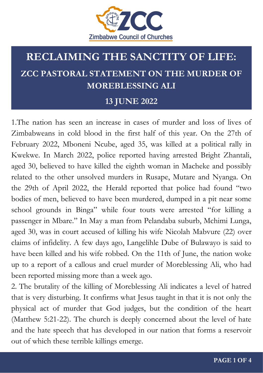

### **13 JUNE 2022**

1.The nation has seen an increase in cases of murder and loss of lives of Zimbabweans in cold blood in the first half of this year. On the 27th of February 2022, Mboneni Ncube, aged 35, was killed at a political rally in Kwekwe. In March 2022, police reported having arrested Bright Zhantali, aged 30, believed to have killed the eighth woman in Macheke and possibly related to the other unsolved murders in Rusape, Mutare and Nyanga. On the 29th of April 2022, the Herald reported that police had found "two bodies of men, believed to have been murdered, dumped in a pit near some school grounds in Binga" while four touts were arrested "for killing a passenger in Mbare." In May a man from Pelandaba suburb, Mchimi Lunga, aged 30, was in court accused of killing his wife Nicolah Mabvure (22) over claims of infidelity. A few days ago, Langelihle Dube of Bulawayo is said to have been killed and his wife robbed. On the 11th of June, the nation woke up to a report of a callous and cruel murder of Moreblessing Ali, who had been reported missing more than a week ago.

2. The brutality of the killing of Moreblessing Ali indicates a level of hatred that is very disturbing. It confirms what Jesus taught in that it is not only the physical act of murder that God judges, but the condition of the heart (Matthew 5:21-22). The church is deeply concerned about the level of hate and the hate speech that has developed in our nation that forms a reservoir out of which these terrible killings emerge.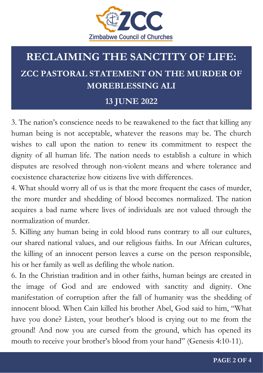

### **13 JUNE 2022**

3. The nation's conscience needs to be reawakened to the fact that killing any human being is not acceptable, whatever the reasons may be. The church wishes to call upon the nation to renew its commitment to respect the dignity of all human life. The nation needs to establish a culture in which disputes are resolved through non-violent means and where tolerance and coexistence characterize how citizens live with differences.

4. What should worry all of us is that the more frequent the cases of murder, the more murder and shedding of blood becomes normalized. The nation acquires a bad name where lives of individuals are not valued through the normalization of murder.

5. Killing any human being in cold blood runs contrary to all our cultures, our shared national values, and our religious faiths. In our African cultures, the killing of an innocent person leaves a curse on the person responsible, his or her family as well as defiling the whole nation.

6. In the Christian tradition and in other faiths, human beings are created in the image of God and are endowed with sanctity and dignity. One manifestation of corruption after the fall of humanity was the shedding of innocent blood. When Cain killed his brother Abel, God said to him, "What have you done? Listen, your brother's blood is crying out to me from the ground! And now you are cursed from the ground, which has opened its mouth to receive your brother's blood from your hand" (Genesis 4:10-11).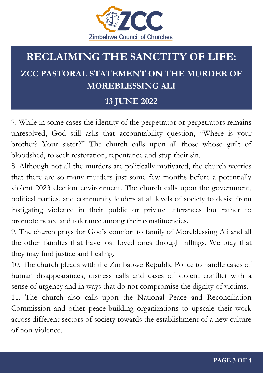

### **13 JUNE 2022**

7. While in some cases the identity of the perpetrator or perpetrators remains unresolved, God still asks that accountability question, "Where is your brother? Your sister?" The church calls upon all those whose guilt of bloodshed, to seek restoration, repentance and stop their sin.

8. Although not all the murders are politically motivated, the church worries that there are so many murders just some few months before a potentially violent 2023 election environment. The church calls upon the government, political parties, and community leaders at all levels of society to desist from instigating violence in their public or private utterances but rather to promote peace and tolerance among their constituencies.

9. The church prays for God's comfort to family of Moreblessing Ali and all the other families that have lost loved ones through killings. We pray that they may find justice and healing.

10. The church pleads with the Zimbabwe Republic Police to handle cases of human disappearances, distress calls and cases of violent conflict with a sense of urgency and in ways that do not compromise the dignity of victims.

11. The church also calls upon the National Peace and Reconciliation Commission and other peace-building organizations to upscale their work across different sectors of society towards the establishment of a new culture of non-violence.